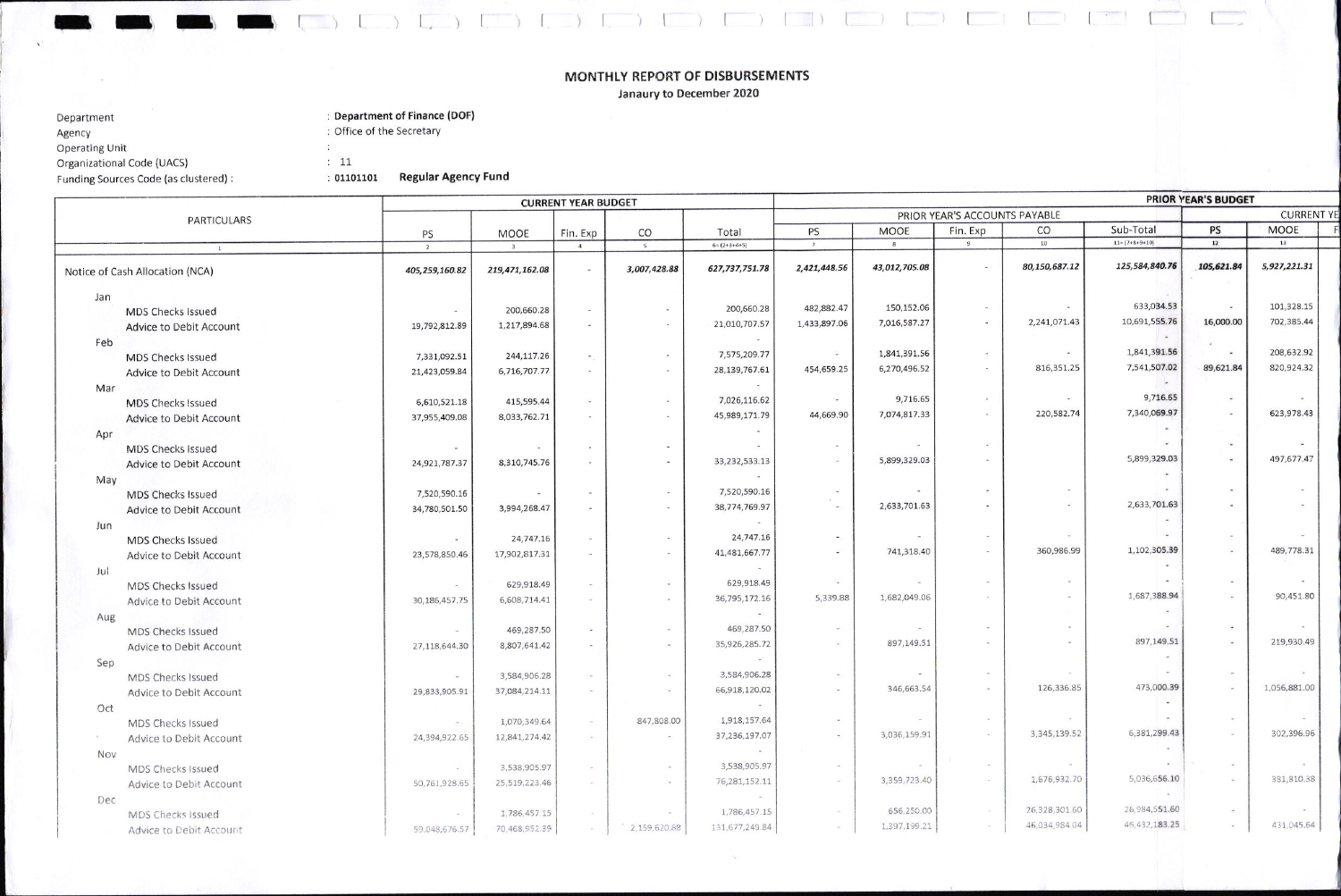## MONTHLY REPORT OF DISBURSEMENTS

 $\begin{pmatrix} 0 & 0 & 0 \\ 0 & 0 & 0 \end{pmatrix} \quad \begin{pmatrix} 0 & 0 & 0 \\ 0 & 0 & 0 \end{pmatrix} \quad \begin{pmatrix} 0 & 0 & 0 \\ 0 & 0 & 0 \end{pmatrix} \quad \begin{pmatrix} 0 & 0 & 0 \\ 0 & 0 & 0 \end{pmatrix} \quad \begin{pmatrix} 0 & 0 & 0 \\ 0 & 0 & 0 \end{pmatrix} \quad \begin{pmatrix} 0 & 0 & 0 \\ 0 & 0 & 0 \end{pmatrix} \quad \begin{pmatrix} 0 & 0 & 0 \\ 0 & 0 & 0 \end{pmatrix} \quad \begin{$ 

Janaury to December 2020

| Department                            | : Department of Finance (DOF) |                       |  |  |  |  |
|---------------------------------------|-------------------------------|-----------------------|--|--|--|--|
| Agency                                | : Office of the Secretary     |                       |  |  |  |  |
| <b>Operating Unit</b>                 |                               |                       |  |  |  |  |
| Organizational Code (UACS)            | : 11                          |                       |  |  |  |  |
| Funding Sources Code (as clustered) : | : 01101101                    | <b>Regular Agency</b> |  |  |  |  |
|                                       |                               |                       |  |  |  |  |

 $\mathbf{v}$ 

The second

## **Agency Fund**

|                                 | <b>CURRENT YEAR BUDGET</b> |                |                              |                          |                 | <b>PRIOR YEAR'S BUDGET</b><br>PRIOR YEAR'S ACCOUNTS PAYABLE |                |          |                          |                          |                |              |  |  |
|---------------------------------|----------------------------|----------------|------------------------------|--------------------------|-----------------|-------------------------------------------------------------|----------------|----------|--------------------------|--------------------------|----------------|--------------|--|--|
| PARTICULARS                     |                            |                |                              |                          |                 |                                                             | <b>CURRENT</b> |          |                          |                          |                |              |  |  |
|                                 | PS                         | MOOE           | Fin. Exp                     | CO                       | Total           | PS                                                          | <b>MOOE</b>    | Fin. Exp | CO                       | Sub-Total                | PS             | <b>MOOE</b>  |  |  |
| 1                               | $\overline{2}$             |                | 4                            | 5                        | $6 = (2+3+4+5)$ | 7                                                           | 8              | 9        | $10$                     | $11 = (7 + 8 + 9 + 10)$  | 12             | 13           |  |  |
| Notice of Cash Allocation (NCA) | 405,259,160.82             | 219,471,162.08 | $\sim$                       | 3,007,428.88             | 627,737,751.78  | 2,421,448.56                                                | 43,012,705.08  |          | 80,150,687.12            | 125,584,840.76           | 105,621.84     | 5,927,221.31 |  |  |
| Jan                             |                            |                |                              |                          |                 |                                                             |                |          |                          |                          |                |              |  |  |
| <b>MDS Checks Issued</b>        |                            | 200,660.28     | $\sim$                       |                          | 200,660.28      | 482,882.47                                                  | 150,152.06     | $\sim$   | $\overline{\phantom{a}}$ | 633,034.53               | $\bullet$      | 101,328.15   |  |  |
| Advice to Debit Account         | 19,792,812.89              | 1,217,894.68   | $\sim$                       | $\sim$                   | 21,010,707.57   | 1,433,897.06                                                | 7,016,587.27   | $\sim$   | 2,241,071.43             | 10,691,555.76            | 16,000.00      | 702,385.44   |  |  |
| Feb                             |                            |                |                              |                          | <b>B</b>        |                                                             |                |          |                          | $\sim$                   |                |              |  |  |
| <b>MDS Checks Issued</b>        | 7,331,092.51               | 244,117.26     | $\overline{\phantom{a}}$     | $\blacksquare$           | 7,575,209.77    | $\sim$                                                      | 1,841,391.56   | $\sim$   | $\sim$                   | 1,841,391.56             | $\blacksquare$ | 208,632.92   |  |  |
| Advice to Debit Account         | 21,423,059.84              | 6,716,707.77   | $\sim$                       | $\omega$                 | 28, 139, 767.61 | 454,659.25                                                  | 6,270,496.52   | $\sim$   | 816,351.25               | 7,541,507.02             | 89,621.84      | 820,924.32   |  |  |
| Mar                             |                            |                |                              |                          | $\sim$          |                                                             |                |          |                          | $\sim$                   |                |              |  |  |
| <b>MDS Checks Issued</b>        | 6,610,521.18               | 415,595.44     | $\sim$                       | ٠                        | 7,026,116.62    | $\sim$                                                      | 9,716.65       | $\sim$   | $\sim$                   | 9,716.65                 | $\sim$         |              |  |  |
| Advice to Debit Account         | 37,955,409.08              | 8,033,762.71   | $\tilde{\phantom{a}}$        |                          | 45,989,171.79   | 44,669.90                                                   | 7,074,817.33   | ×        | 220,582.74               | 7,340,069.97             | $\sim$         | 623,978.43   |  |  |
|                                 |                            |                |                              |                          |                 |                                                             |                |          |                          |                          |                |              |  |  |
| Apr<br><b>MDS Checks Issued</b> | $\overline{\phantom{a}}$   | $\sim$         | $\sim$                       | $\sim$                   |                 |                                                             |                |          |                          |                          |                |              |  |  |
| Advice to Debit Account         | 24,921,787.37              | 8,310,745.76   | $\sim$                       | $\sim$                   | 33,232,533.13   |                                                             | 5,899,329.03   |          |                          | 5,899,329.03             |                | 497,677.47   |  |  |
|                                 |                            |                |                              |                          | $\sim$          |                                                             |                |          |                          | $\blacksquare$           |                |              |  |  |
| May<br><b>MDS Checks Issued</b> | 7,520,590.16               | $\sim$         | $\overline{\phantom{a}}$     |                          | 7,520,590.16    | $\sim$                                                      |                |          | $\sim$                   |                          |                |              |  |  |
|                                 | 34,780,501.50              | 3,994,268.47   | $\sim$                       | $\overline{\phantom{a}}$ | 38,774,769.97   |                                                             | 2,633,701.63   |          | $\omega$                 | 2,633,701.63             |                |              |  |  |
| <b>Advice to Debit Account</b>  |                            |                |                              |                          | <b>College</b>  |                                                             |                |          |                          |                          |                |              |  |  |
| Jun                             |                            | 24,747.16      | $\sim$                       |                          | 24,747.16       |                                                             |                |          | ×                        | $\overline{\phantom{a}}$ |                |              |  |  |
| <b>MDS Checks Issued</b>        |                            | 17,902,817.31  | $\sim$                       |                          | 41,481,667.77   | ٠                                                           | 741,318.40     |          | 360,986.99               | 1,102,305.39             |                | 489,778.31   |  |  |
| Advice to Debit Account         | 23,578,850.46              |                |                              |                          |                 |                                                             |                |          |                          |                          |                |              |  |  |
| Jul                             |                            | 629,918.49     | $\sim$                       | $\sim$                   | 629,918.49      | $\sim$                                                      |                |          | $\blacksquare$           |                          |                |              |  |  |
| <b>MDS Checks Issued</b>        |                            |                | $\sim$                       | $\sim$                   | 36,795,172.16   | 5.339.88                                                    | 1,682,049.06   |          | $\sim$                   | 1,687,388.94             |                | 90,451.80    |  |  |
| Advice to Debit Account         | 30,186,457.75              | 6,608,714.41   |                              |                          |                 |                                                             |                |          |                          | $\sim$                   |                |              |  |  |
| Aug                             |                            | 469,287.50     | $\sim$                       |                          | 469,287.50      | $\sim$                                                      |                |          | $\sim$                   |                          |                |              |  |  |
| <b>MDS Checks Issued</b>        |                            |                |                              | $\sim$                   | 35,926,285.72   | $\sim$                                                      | 897,149.51     |          |                          | 897,149.51               |                | 219,930.49   |  |  |
| Advice to Debit Account         | 27,118,644.30              | 8,807,641.42   | $\sim$                       |                          | <b>Carl</b>     |                                                             |                |          |                          |                          |                |              |  |  |
| Sep                             |                            |                |                              |                          | 3,584,906.28    |                                                             |                |          |                          | $\mathbf{m}$             |                |              |  |  |
| MDS Checks Issued               |                            | 3,584,906.28   | $\sim$                       |                          | 66,918,120.02   | $\sim$                                                      | 346,663.54     |          | 126,336.85               | 473,000.39               |                | 1,056,881.00 |  |  |
| Advice to Debit Account         | 29,833,905.91              | 37,084,214.11  | $\overline{\phantom{a}}$     |                          |                 |                                                             |                |          |                          |                          |                |              |  |  |
| Oct                             |                            |                |                              |                          |                 |                                                             |                |          | $\sim$                   |                          |                |              |  |  |
| MDS Checks Issued               |                            | 1,070,349.64   | $\sim$                       | 847,808.00               | 1,918,157.64    |                                                             | 3,036,159.91   | ÷        | 3,345,139.52             | 6,381,299.43             |                | 302,396.96   |  |  |
| Advice to Debit Account         | 24,394,922.65              | 12,841,274.42  | $\left( \frac{1}{2} \right)$ | $\sim$                   | 37,236,197.07   | $\sim$                                                      |                |          |                          | $\sim$                   |                |              |  |  |
| Nov                             |                            |                |                              |                          |                 |                                                             |                |          | <b>COL</b>               |                          |                |              |  |  |
| MDS Checks Issued               |                            | 3,538,905.97   | $\sim$                       |                          | 3,538,905.97    | $\sim$                                                      |                |          | 1,676,932.70             | 5,036,656.10             |                | 381,810.38   |  |  |
| Advice to Debit Account         | 50,761,928.65              | 25,519,223.46  | $\sim$                       | $\sim$                   | 76,281,152.11   | $\sim$                                                      | 3,359,723.40   |          |                          |                          |                |              |  |  |
| Dec                             |                            |                |                              |                          | $\sim$          |                                                             |                |          |                          | 26,984,551.60            |                |              |  |  |
| MDS Checks Issued               |                            | 1,786,457.15   | $\sim$                       | $\sim$                   | 1,786,457.15    | $\sim$                                                      | 656,250.00     |          | 26,328,301.60            |                          |                |              |  |  |
| Advice to Debit Account         | 59,048,676.57              | 70,468,952.39  | $\sim$                       | 2,159,620.88             | 131,677,249.84  | cm.                                                         | 1,397,199.21   |          | 45,034,984.04            | 46, 432, 183.25          | $\sim$         | 431,045.64   |  |  |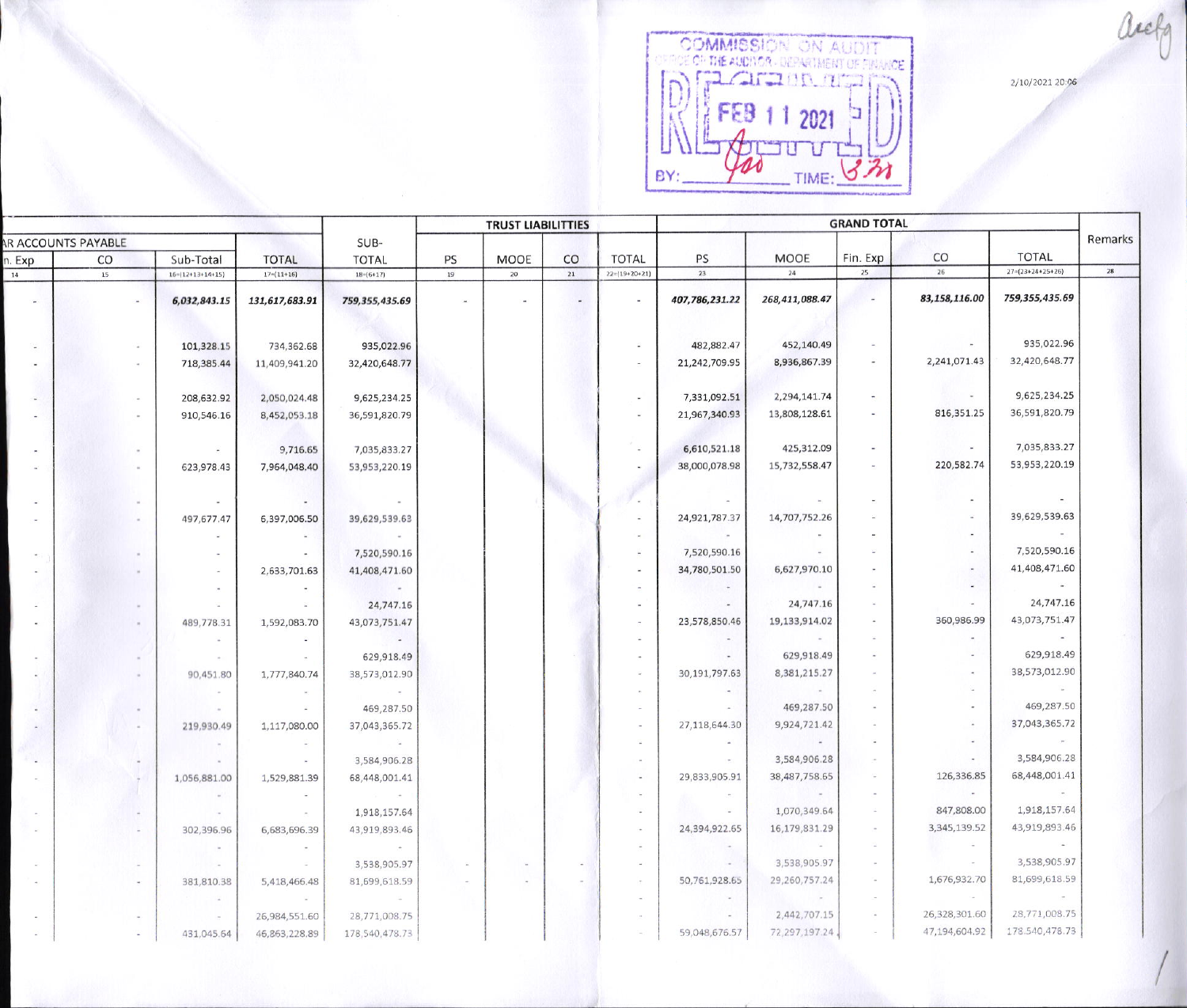2/10/2021 20:06

OOMMISSION ON AUDIT FEB 1 1 2021  $m = 71$ BY:  $\Delta$ 

|                     |                |                            |                  |                  | <b>TRUST LIABILITTIES</b> |                |                          |                          | <b>GRAND TOTAL</b> |                |                            |               |                            |      |
|---------------------|----------------|----------------------------|------------------|------------------|---------------------------|----------------|--------------------------|--------------------------|--------------------|----------------|----------------------------|---------------|----------------------------|------|
| AR ACCOUNTS PAYABLE |                |                            | SUB-             |                  |                           |                |                          |                          |                    |                |                            |               | Remarks                    |      |
| n. Exp              | CO             | Sub-Total                  | <b>TOTAL</b>     | <b>TOTAL</b>     | PS                        | MOOE           | CO                       | <b>TOTAL</b>             | PS                 | <b>MOOE</b>    | Fin. Exp                   | CO            | <b>TOTAL</b>               |      |
| 14                  | 15             | $16 = (12 + 13 + 14 + 15)$ | $17 = (11 + 16)$ | $18-(6+17)$      | 19                        | 20             | 21                       | $22=(19+20+21)$          | 23                 | 24             | 25                         | 26            | $27 = (23 + 24 + 25 + 26)$ | $28$ |
| $\sim$              | <b>Section</b> | 6,032,843.15               | 131,617,683.91   | 759,355,435.69   | $\sim$                    | $\mathbf{u}$   | $\overline{\phantom{a}}$ | $\sim$                   | 407,786,231.22     | 268,411,088.47 |                            | 83,158,116.00 | 759,355,435.69             |      |
|                     |                |                            |                  |                  |                           |                |                          |                          |                    |                |                            |               |                            |      |
|                     |                | 101,328.15                 | 734,362.68       | 935,022.96       |                           |                |                          | $\sim$                   | 482,882.47         | 452,140.49     | $\sim$                     |               | 935,022.96                 |      |
|                     |                | 718,385.44                 | 11,409,941.20    | 32,420,648.77    |                           |                |                          | $\sim$                   | 21,242,709.95      | 8,936,867.39   | $\sim$                     | 2,241,071.43  | 32,420,648.77              |      |
|                     |                | 208,632.92                 | 2,050,024.48     | 9,625,234.25     |                           |                |                          | $\blacksquare$           | 7,331,092.51       | 2,294,141.74   | $\sim$                     | $\sim$        | 9,625,234.25               |      |
|                     |                | 910,546.16                 | 8,452,053.18     | 36,591,820.79    |                           |                |                          | $\blacksquare$           | 21,967,340.93      | 13,808,128.61  | $\sim$                     | 816,351.25    | 36,591,820.79              |      |
|                     |                | $\sim$                     | 9,716.65         | 7,035,833.27     |                           |                |                          | $\omega$                 | 6,610,521.18       | 425,312.09     | $\sim$                     | $\sim$        | 7,035,833.27               |      |
|                     |                |                            |                  |                  |                           |                |                          | $\sim$                   | 38,000,078.98      | 15,732,558.47  | $\sim$                     | 220,582.74    | 53,953,220.19              |      |
|                     |                | 623,978.43                 | 7,964,048.40     | 53,953,220.19    |                           |                |                          |                          |                    |                |                            |               |                            |      |
|                     |                | $\sim$                     | $\sim$           | $\sim$           |                           |                |                          | n.                       | $\sim$             |                | $\sim$                     |               |                            |      |
|                     |                | 497,677.47                 | 6,397,006.50     | 39,629,539.63    |                           |                |                          | $\sim$                   | 24,921,787.37      | 14,707,752.26  | $\omega$                   |               | 39,629,539.63              |      |
|                     |                |                            | $\sim$           |                  |                           |                |                          | $\blacksquare$           | $\sim$             |                | $\sim$                     | $\sim$        |                            |      |
|                     |                |                            | $\sim$           | 7,520,590.16     |                           |                |                          |                          | 7,520,590.16       | $\sim$         | ×                          | ×.            | 7,520,590.16               |      |
|                     |                | $\sim$                     | 2,633,701.63     | 41,408,471.60    |                           |                |                          | $\overline{\phantom{a}}$ | 34,780,501.50      | 6,627,970.10   | $\sim$                     | $\sim$        | 41,408,471.60              |      |
|                     |                | $\sim$                     | $\sim$           | $\sim$           |                           |                |                          |                          | $\sim$             |                | $\sim$                     | $\sim$        | $\sim$                     |      |
|                     |                | $\sim$                     | ÷                | 24,747.16        |                           |                |                          |                          | $\sim$             | 24,747.16      | $\overline{\phantom{a}}$   | $\sim$        | 24,747.16                  |      |
|                     |                | 489,778.31                 | 1,592,083.70     | 43,073,751.47    |                           |                |                          |                          | 23,578,850.46      | 19,133,914.02  | $\sim$                     | 360,986.99    | 43,073,751.47              |      |
|                     |                | $\sim$                     | $\sim$           | $\sim$ 100 $\mu$ |                           |                |                          |                          | $\overline{a}$     |                | $\overline{\mathcal{M}}_1$ | $\sim$        |                            |      |
|                     |                | $\sim$                     | $\sim$           | 629,918.49       |                           |                |                          |                          | $\overline{a}$     | 629,918.49     | $\sim$                     | ×.            | 629,918.49                 |      |
|                     |                | 90,451.80                  | 1,777,840.74     | 38,573,012.90    |                           |                |                          |                          | 30,191,797.63      | 8,381,215.27   | $\sim$                     | $\bar{a}$     | 38,573,012.90              |      |
|                     |                | $\sim$                     |                  | <b>CONTINUES</b> |                           |                |                          |                          | $\sim$             |                | $\sim$                     | $\omega$      | $\mathcal{L}_{\text{eff}}$ |      |
|                     |                | $\sim$                     | $\sim$           | 469,287.50       |                           |                |                          |                          | $\sim$             | 469,287.50     | $\sim$                     | $\sim$        | 469,287.50                 |      |
|                     |                | 219,930.49                 | 1,117,080.00     | 37,043,365.72    |                           |                |                          | $\overline{\phantom{a}}$ | 27,118,644.30      | 9,924,721.42   | $\scriptstyle\star$        | $\omega$      | 37,043,365.72              |      |
|                     |                | $\sim$                     | $\sim$           | - 94             |                           |                |                          |                          | $\sim$             | $\rightarrow$  | $\mathcal{L}_{\mathbf{z}}$ | G.            | $\sim 100$                 |      |
|                     |                |                            |                  | 3,584,906.28     |                           |                |                          |                          | $\sim$             | 3,584,906.28   | $\sim$                     | $\sim$        | 3,584,906.28               |      |
|                     |                | 1,056,881.00               | 1,529,881.39     | 68,448,001.41    |                           |                |                          |                          | 29,833,905.91      | 38,487,758.65  | $\sim$                     | 126,336.85    | 68,448,001.41              |      |
|                     |                | $\sim$                     | $\sim$           | $\sim 100$       |                           |                |                          |                          | $\sim$             |                | $\sim$                     | $\sim$        | $\sim$                     |      |
|                     |                | $\sim$                     | $\sim$           | 1,918,157.64     |                           |                |                          | $\sim$                   | $ \,$              | 1,070,349.64   | $\sim$                     | 847,808.00    | 1,918,157.64               |      |
|                     | A.             | 302,396.96                 | 6,683,696.39     | 43,919,893.46    |                           |                |                          | $\sim$                   | 24,394,922.65      | 16,179,831.29  | $\sim$                     | 3,345,139.52  | 43,919,893.46              |      |
|                     |                |                            |                  |                  |                           |                |                          | $\sim$                   | $\sim$             |                | $\sim$                     | $\sim$        | $-$                        |      |
|                     |                | $\sim$                     | $\sim$           | 3,538,905.97     | $\sim$                    | $\sim$         | $\sim$                   | $\sim$                   | $\sim$             | 3,538,905.97   | $\sim$                     | $\sim$        | 3,538,905.97               |      |
|                     |                | 381,810.38                 | 5,418,466.48     | 81,699,618.59    |                           | $\overline{a}$ | $\sim$                   | $\sim$                   | 50,761,928.65      | 29,260,757.24  | $\sim$                     | 1,676,932.70  | 81,699,618.59              |      |
|                     |                | $\sim$                     | $\sim$           | - 50             |                           |                |                          | $\sim$                   | $\bullet$          | $\sim$         | $\sim$                     | $\sim$        |                            |      |
|                     |                | $\sim$                     | 26,984,551.60    | 28,771,008.75    |                           |                |                          |                          |                    | 2,442,707.15   | $\sim$                     | 26,328,301.60 | 28,771,008.75              |      |
|                     |                | 431,045.64                 | 46,863,228.89    | 178,540,478.73   |                           |                |                          | $\sim$                   | 59,048,676.57      | 72,297,197.24  | $\sim$                     | 47,194,604.92 | 178.540,478.73             |      |